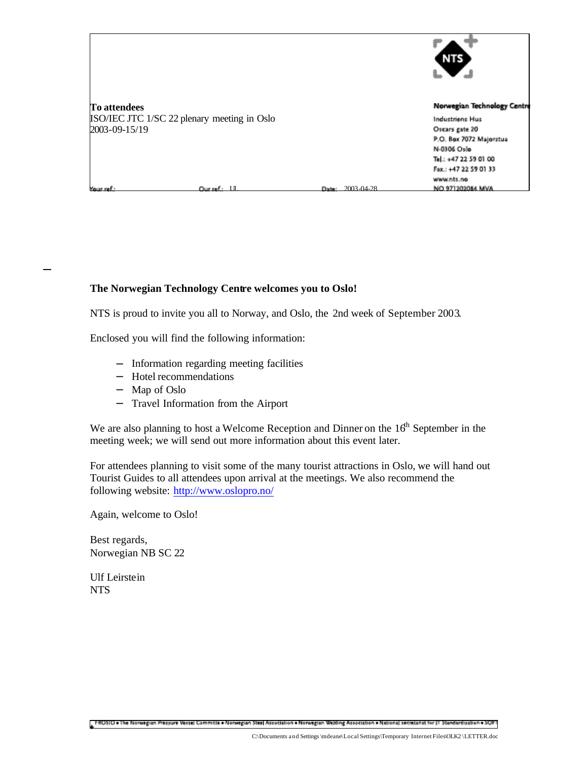

#### **The Norwegian Technology Centre welcomes you to Oslo!**

NTS is proud to invite you all to Norway, and Oslo, the 2nd week of September 2003.

Enclosed you will find the following information:

- − Information regarding meeting facilities
- − Hotel recommendations
- − Map of Oslo
- − Travel Information from the Airport

We are also planning to host a Welcome Reception and Dinner on the  $16<sup>th</sup>$  September in the meeting week; we will send out more information about this event later.

For attendees planning to visit some of the many tourist attractions in Oslo, we will hand out Tourist Guides to all attendees upon arrival at the meetings. We also recommend the following website: http://www.oslopro.no/

Again, welcome to Oslo!

Best regards, Norwegian NB SC 22

Ulf Leirstein NTS

FROSIO + The Nonsegian Pressure Vessel Committe + Nonsegian Steel Association + Nonvegian Welding Association + National secretariat for IT Standardisation + SOFT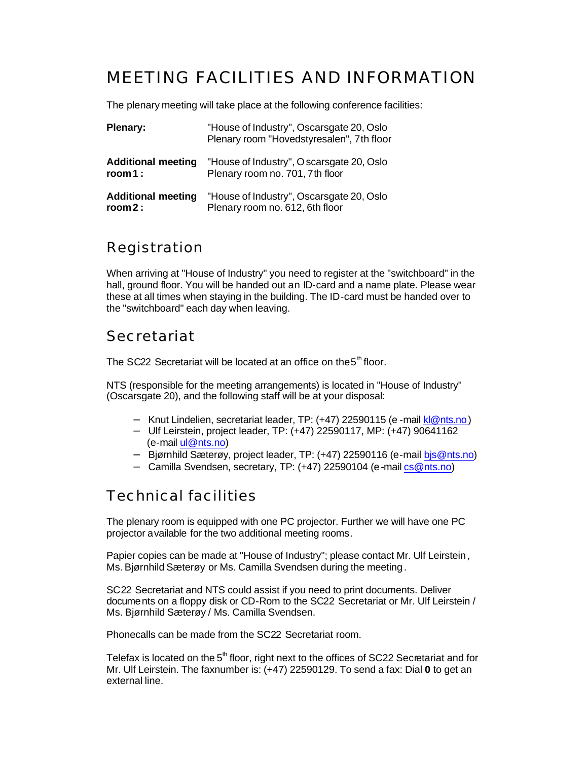# MEETING FACILITIES AND INFORMATION

The plenary meeting will take place at the following conference facilities:

| <b>Plenary:</b>           | "House of Industry", Oscarsgate 20, Oslo<br>Plenary room "Hovedstyresalen", 7th floor |
|---------------------------|---------------------------------------------------------------------------------------|
| <b>Additional meeting</b> | "House of Industry", O scarsgate 20, Oslo                                             |
| room $1:$                 | Plenary room no. 701, 7th floor                                                       |
| <b>Additional meeting</b> | "House of Industry", Oscarsgate 20, Oslo                                              |
| room $2:$                 | Plenary room no. 612, 6th floor                                                       |

### Registration

When arriving at "House of Industry" you need to register at the "switchboard" in the hall, ground floor. You will be handed out an ID-card and a name plate. Please wear these at all times when staying in the building. The ID-card must be handed over to the "switchboard" each day when leaving.

### Secretariat

The SC22 Secretariat will be located at an office on the 5<sup>th</sup> floor.

NTS (responsible for the meeting arrangements) is located in "House of Industry" (Oscarsgate 20), and the following staff will be at your disposal:

- − Knut Lindelien, secretariat leader, TP: (+47) 22590115 (e -mail kl@nts.no)
- − Ulf Leirstein, project leader, TP: (+47) 22590117, MP: (+47) 90641162 (e-mail ul@nts.no)
- − Bjørnhild Sæterøy, project leader, TP: (+47) 22590116 (e-mail bjs@nts.no)
- − Camilla Svendsen, secretary, TP: (+47) 22590104 (e-mail cs@nts.no)

### Technical facilities

The plenary room is equipped with one PC projector. Further we will have one PC projector available for the two additional meeting rooms.

Papier copies can be made at "House of Industry"; please contact Mr. Ulf Leirstein, Ms. Bjørnhild Sæterøy or Ms. Camilla Svendsen during the meeting.

SC22 Secretariat and NTS could assist if you need to print documents. Deliver documents on a floppy disk or CD-Rom to the SC22 Secretariat or Mr. Ulf Leirstein / Ms. Bjørnhild Sæterøy / Ms. Camilla Svendsen.

Phonecalls can be made from the SC22 Secretariat room.

Telefax is located on the  $5<sup>th</sup>$  floor, right next to the offices of SC22 Secretariat and for Mr. Ulf Leirstein. The faxnumber is: (+47) 22590129. To send a fax: Dial **0** to get an external line.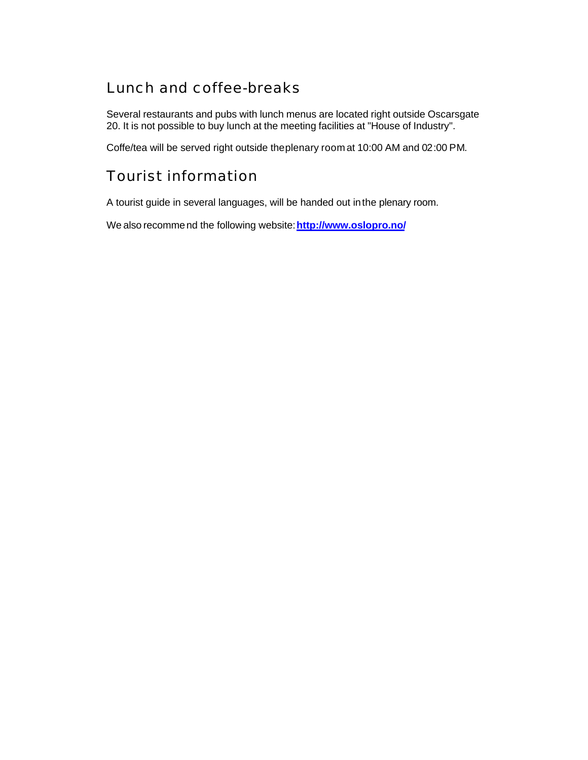## Lunch and coffee-breaks

Several restaurants and pubs with lunch menus are located right outside Oscarsgate 20. It is not possible to buy lunch at the meeting facilities at "House of Industry".

Coffe/tea will be served right outside the plenary room at 10:00 AM and 02:00 PM.

## Tourist information

A tourist guide in several languages, will be handed out in the plenary room.

We also recommend the following website: **http://www.oslopro.no/**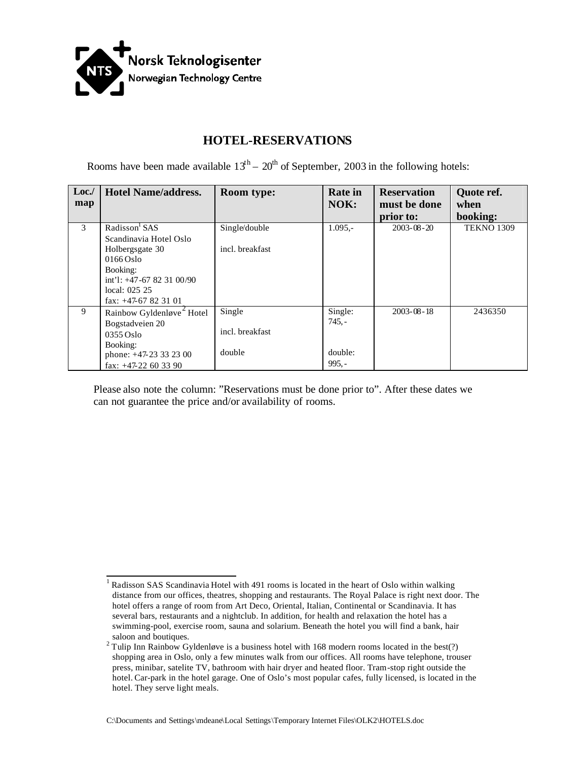

### **HOTEL-RESERVATIONS**

Rooms have been made available  $13<sup>th</sup> - 20<sup>th</sup>$  of September, 2003 in the following hotels:

| Loc/<br>map | <b>Hotel Name/address.</b>                                                                                                                                            | <b>Room type:</b>                   | <b>Rate</b> in<br>NOK:                    | <b>Reservation</b><br>must be done<br>prior to: | Quote ref.<br>when<br>booking: |
|-------------|-----------------------------------------------------------------------------------------------------------------------------------------------------------------------|-------------------------------------|-------------------------------------------|-------------------------------------------------|--------------------------------|
| 3           | Radisson <sup>1</sup> SAS<br>Scandinavia Hotel Oslo<br>Holbergsgate 30<br>$0166$ Oslo<br>Booking:<br>int'l: $+47-67823100/90$<br>local: 025 25<br>fax: $+47-67823101$ | Single/double<br>incl. breakfast    | $1.095,-$                                 | $2003 - 08 - 20$                                | <b>TEKNO 1309</b>              |
| 9           | Rainbow Gyldenløve <sup>2</sup> Hotel<br>Bogstadveien 20<br>$0355$ Oslo<br>Booking:<br>phone: $+47-23$ 33 23 00<br>fax: $+47-22$ 60 33 90                             | Single<br>incl. breakfast<br>double | Single:<br>$745. -$<br>double:<br>$995 -$ | $2003 - 08 - 18$                                | 2436350                        |

Please also note the column: "Reservations must be done prior to". After these dates we can not guarantee the price and/or availability of rooms.

l 1 Radisson SAS Scandinavia Hotel with 491 rooms is located in the heart of Oslo within walking distance from our offices, theatres, shopping and restaurants. The Royal Palace is right next door. The hotel offers a range of room from Art Deco, Oriental, Italian, Continental or Scandinavia. It has several bars, restaurants and a nightclub. In addition, for health and relaxation the hotel has a swimming-pool, exercise room, sauna and solarium. Beneath the hotel you will find a bank, hair saloon and boutiques.

<sup>2</sup> Tulip Inn Rainbow Gyldenløve is a business hotel with 168 modern rooms located in the best(?) shopping area in Oslo, only a few minutes walk from our offices. All rooms have telephone, trouser press, minibar, satelite TV, bathroom with hair dryer and heated floor. Tram-stop right outside the hotel. Car-park in the hotel garage. One of Oslo's most popular cafes, fully licensed, is located in the hotel. They serve light meals.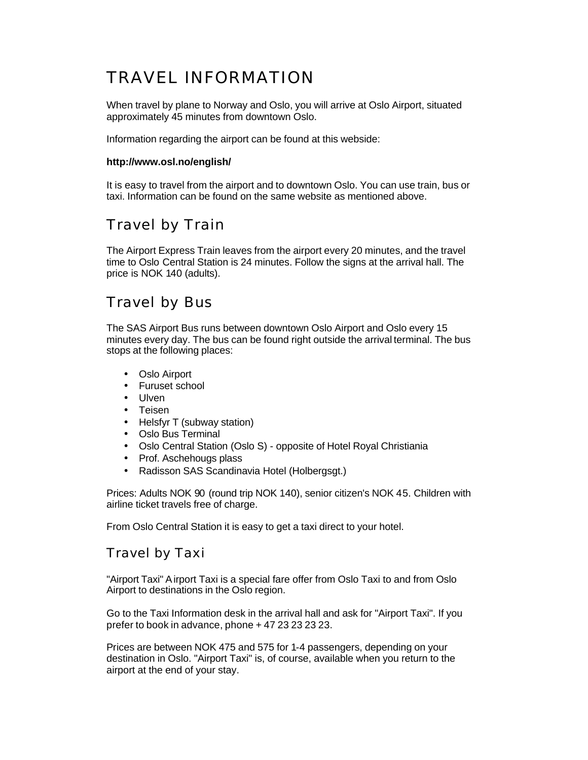# TRAVEL INFORMATION

When travel by plane to Norway and Oslo, you will arrive at Oslo Airport, situated approximately 45 minutes from downtown Oslo.

Information regarding the airport can be found at this webside:

#### **http://www.osl.no/english/**

It is easy to travel from the airport and to downtown Oslo. You can use train, bus or taxi. Information can be found on the same website as mentioned above.

## Travel by Train

The Airport Express Train leaves from the airport every 20 minutes, and the travel time to Oslo Central Station is 24 minutes. Follow the signs at the arrival hall. The price is NOK 140 (adults).

### Travel by Bus

The SAS Airport Bus runs between downtown Oslo Airport and Oslo every 15 minutes every day. The bus can be found right outside the arrival terminal. The bus stops at the following places:

- Oslo Airport
- Furuset school
- Ulven
- Teisen
- Helsfyr T (subway station)
- Oslo Bus Terminal
- Oslo Central Station (Oslo S) opposite of Hotel Royal Christiania
- Prof. Aschehougs plass
- Radisson SAS Scandinavia Hotel (Holbergsgt.)

Prices: Adults NOK 90 (round trip NOK 140), senior citizen's NOK 45. Children with airline ticket travels free of charge.

From Oslo Central Station it is easy to get a taxi direct to your hotel.

### Travel by Taxi

"Airport Taxi" Airport Taxi is a special fare offer from Oslo Taxi to and from Oslo Airport to destinations in the Oslo region.

Go to the Taxi Information desk in the arrival hall and ask for "Airport Taxi". If you prefer to book in advance, phone + 47 23 23 23 23.

Prices are between NOK 475 and 575 for 1-4 passengers, depending on your destination in Oslo. "Airport Taxi" is, of course, available when you return to the airport at the end of your stay.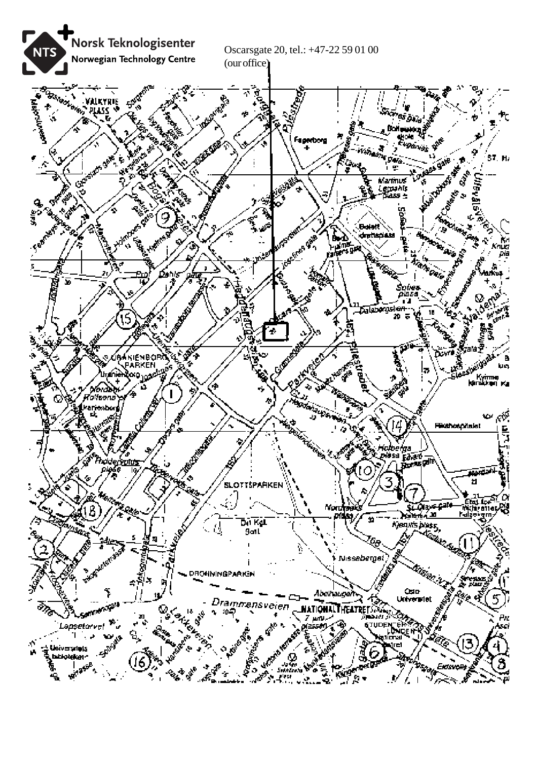